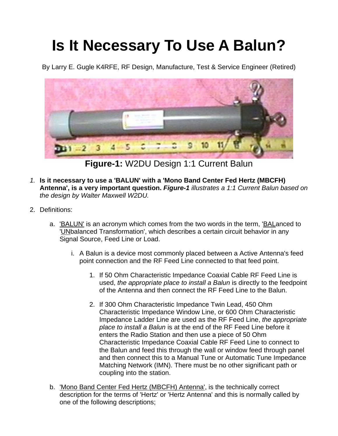## **Is It Necessary To Use A Balun?**

By Larry E. Gugle K4RFE, RF Design, Manufacture, Test & Service Engineer (Retired)



**Figure-1:** W2DU Design 1:1 Current Balun

- *1.* **Is it necessary to use a 'BALUN' with a 'Mono Band Center Fed Hertz (MBCFH) Antenna', is a very important question.** *Figure-1 illustrates a 1:1 Current Balun based on the design by Walter Maxwell W2DU.*
- 2. Definitions:
	- a. 'BALUN' is an acronym which comes from the two words in the term, 'BALanced to 'UNbalanced Transformation', which describes a certain circuit behavior in any Signal Source, Feed Line or Load.
		- i. A Balun is a device most commonly placed between a Active Antenna's feed point connection and the RF Feed Line connected to that feed point.
			- 1. If 50 Ohm Characteristic Impedance Coaxial Cable RF Feed Line is used, *the appropriate place to install a Balun* is directly to the feedpoint of the Antenna and then connect the RF Feed Line to the Balun.
			- 2. If 300 Ohm Characteristic Impedance Twin Lead, 450 Ohm Characteristic Impedance Window Line, or 600 Ohm Characteristic Impedance Ladder Line are used as the RF Feed Line, *the appropriate place to install a Balun* is at the end of the RF Feed Line before it enters the Radio Station and then use a piece of 50 Ohm Characteristic Impedance Coaxial Cable RF Feed Line to connect to the Balun and feed this through the wall or window feed through panel and then connect this to a Manual Tune or Automatic Tune Impedance Matching Network (IMN). There must be no other significant path or coupling into the station.
	- b. 'Mono Band Center Fed Hertz (MBCFH) Antenna', is the technically correct description for the terms of 'Hertz' or 'Hertz Antenna' and this is normally called by one of the following descriptions;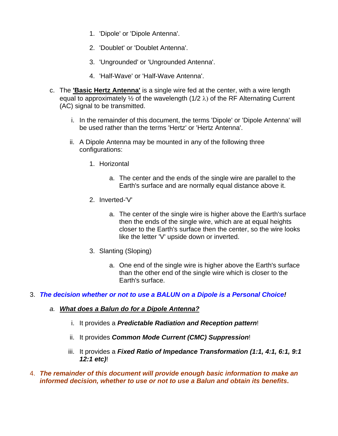- 1. 'Dipole' or 'Dipole Antenna'.
- 2. 'Doublet' or 'Doublet Antenna'.
- 3. 'Ungrounded' or 'Ungrounded Antenna'.
- 4. 'Half-Wave' or 'Half-Wave Antenna'.
- c. The **'Basic Hertz Antenna'** is a single wire fed at the center, with a wire length equal to approximately  $\frac{1}{2}$  of the wavelength (1/2  $\lambda$ ) of the RF Alternating Current (AC) signal to be transmitted.
	- i. In the remainder of this document, the terms 'Dipole' or 'Dipole Antenna' will be used rather than the terms 'Hertz' or 'Hertz Antenna'.
	- ii. A Dipole Antenna may be mounted in any of the following three configurations:
		- 1. Horizontal
			- a. The center and the ends of the single wire are parallel to the Earth's surface and are normally equal distance above it.
		- 2. Inverted-'V'
			- a. The center of the single wire is higher above the Earth's surface then the ends of the single wire, which are at equal heights closer to the Earth's surface then the center, so the wire looks like the letter 'V' upside down or inverted.
		- 3. Slanting (Sloping)
			- a. One end of the single wire is higher above the Earth's surface than the other end of the single wire which is closer to the Earth's surface.
- 3. *The decision whether or not to use a BALUN on a Dipole is a Personal Choice!*

## *a. What does a Balun do for a Dipole Antenna?*

- i. It provides a *Predictable Radiation and Reception pattern*!
- ii. It provides *Common Mode Current (CMC) Suppression*!
- iii. It provides a *Fixed Ratio of Impedance Transformation (1:1, 4:1, 6:1, 9:1 12:1 etc)*!
- 4. *The remainder of this document will provide enough basic information to make an informed decision, whether to use or not to use a Balun and obtain its benefits***.**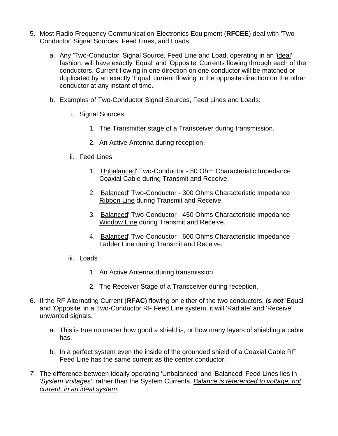- 5. Most Radio Frequency Communication-Electronics Equipment (**RFCEE**) deal with 'Two-Conductor' Signal Sources, Feed Lines, and Loads.
	- a. Any 'Two-Conductor' Signal Source, Feed Line and Load, operating in an 'ideal' fashion, will have exactly 'Equal' and 'Opposite' Currents flowing through each of the conductors. Current flowing in one direction on one conductor will be matched or duplicated by an exactly 'Equal' current flowing in the opposite direction on the other conductor at any instant of time.
	- b. Examples of Two-Conductor Signal Sources, Feed Lines and Loads:
		- i. Signal Sources
			- 1. The Transmitter stage of a Transceiver during transmission.
			- 2. An Active Antenna during reception.
		- ii. Feed Lines
			- 1. 'Unbalanced' Two-Conductor 50 Ohm Characteristic Impedance Coaxial Cable during Transmit and Receive.
			- 2. 'Balanced' Two-Conductor 300 Ohms Characteristic Impedance Ribbon Line during Transmit and Receive.
			- 3. 'Balanced' Two-Conductor 450 Ohms Characteristic Impedance Window Line during Transmit and Receive.
			- 4. 'Balanced' Two-Conductor 600 Ohms Characteristic Impedance Ladder Line during Transmit and Receive.
		- iii. Loads
			- 1. An Active Antenna during transmission.
			- 2. The Receiver Stage of a Transceiver during reception.
- 6. If the RF Alternating Current (**RFAC**) flowing on either of the two conductors, *is not* 'Equal' and 'Opposite' in a Two-Conductor RF Feed Line system, it will 'Radiate' and 'Receive' unwanted signals.
	- a. This is true no matter how good a shield is, or how many layers of shielding a cable has.
	- b. In a perfect system even the inside of the grounded shield of a Coaxial Cable RF Feed Line has the same current as the center conductor.
- *7.* The difference between ideally operating 'Unbalanced' and 'Balanced' Feed Lines lies in *'System Voltages'*, rather than the System Currents. *Balance is referenced to voltage, not current, in an ideal system.*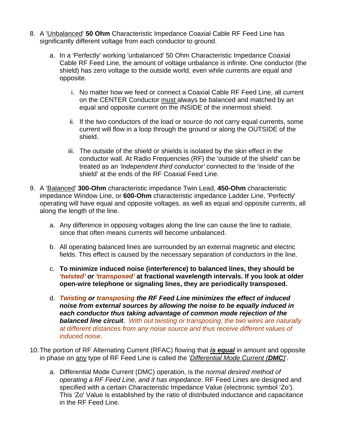- 8. A 'Unbalanced' **50 Ohm** Characteristic Impedance Coaxial Cable RF Feed Line has significantly different voltage from each conductor to ground.
	- a. In a 'Perfectly' working 'unbalanced' 50 Ohm Characteristic Impedance Coaxial Cable RF Feed Line, the amount of voltage unbalance is infinite. One conductor (the shield) has zero voltage to the outside world, even while currents are equal and opposite.
		- i. No matter how we feed or connect a Coaxial Cable RF Feed Line, all current on the CENTER Conductor must always be balanced and matched by an equal and opposite current on the INSIDE of the innermost shield.
		- ii. If the two conductors of the load or source do not carry equal currents, some current will flow in a loop through the ground or along the OUTSIDE of the shield.
		- iii. The outside of the shield or shields is isolated by the skin effect in the conductor wall. At Radio Frequencies (RF) the 'outside of the shield' can be treated as an *'independent third conductor'* connected to the 'inside of the shield' at the ends of the RF Coaxial Feed Line.
- 9. A 'Balanced' **300-Ohm** characteristic impedance Twin Lead, **450-Ohm** characteristic impedance Window Line, or **600-Ohm** characteristic impedance Ladder Line, 'Perfectly' operating will have equal and opposite voltages, as well as equal and opposite currents, all along the length of the line.
	- a. Any difference in opposing voltages along the line can cause the line to radiate, since that often means currents will become unbalanced.
	- b. All operating balanced lines are surrounded by an external magnetic and electric fields. This effect is caused by the necessary separation of conductors in the line.
	- c. **To minimize induced noise (interference) to balanced lines, they should be** *'twisted' or 'transposed'* **at fractional wavelength intervals. If you look at older open-wire telephone or signaling lines, they are periodically transposed.**
	- d. *Twisting or transposing the RF Feed Line minimizes the effect of induced noise from external sources by allowing the noise to be equally induced in each conductor thus taking advantage of common mode rejection of the balanced line circuit. With out twisting or transposing, the two wires are naturally at different distances from any noise source and thus receive different values of induced noise*.
- 10. The portion of RF Alternating Current (RFAC) flowing that *is equal* in amount and opposite in phase on any type of RF Feed Line is called the '*Differential Mode Current (DMC)*'.
	- a. Differential Mode Current (DMC) operation, is the *normal desired method of operating a RF Feed Line, and it has impedance*. RF Feed Lines are designed and specified with a certain Characteristic Impedance Value (electronic symbol 'Zo'). This 'Zo' Value is established by the ratio of distributed inductance and capacitance in the RF Feed Line.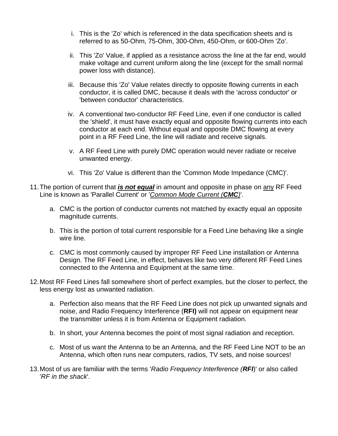- i. This is the 'Zo' which is referenced in the data specification sheets and is referred to as 50-Ohm, 75-Ohm, 300-Ohm, 450-Ohm, or 600-Ohm 'Zo'.
- ii. This 'Zo' Value, if applied as a resistance across the line at the far end, would make voltage and current uniform along the line (except for the small normal power loss with distance).
- iii. Because this 'Zo' Value relates directly to opposite flowing currents in each conductor, it is called DMC, because it deals with the 'across conductor' or 'between conductor' characteristics.
- iv. A conventional two-conductor RF Feed Line, even if one conductor is called the 'shield', it must have exactly equal and opposite flowing currents into each conductor at each end. Without equal and opposite DMC flowing at every point in a RF Feed Line, the line will radiate and receive signals.
- v. A RF Feed Line with purely DMC operation would never radiate or receive unwanted energy.
- vi. This 'Zo' Value is different than the 'Common Mode Impedance (CMC)'.
- 11. The portion of current that *is not equal* in amount and opposite in phase on any RF Feed Line is known as 'Parallel Current' or '*Common Mode Current (CMC)*'.
	- a. CMC is the portion of conductor currents not matched by exactly equal an opposite magnitude currents.
	- b. This is the portion of total current responsible for a Feed Line behaving like a single wire line.
	- c. CMC is most commonly caused by improper RF Feed Line installation or Antenna Design. The RF Feed Line, in effect, behaves like two very different RF Feed Lines connected to the Antenna and Equipment at the same time.
- 12. Most RF Feed Lines fall somewhere short of perfect examples, but the closer to perfect, the less energy lost as unwanted radiation.
	- a. Perfection also means that the RF Feed Line does not pick up unwanted signals and noise, and Radio Frequency Interference (**RFI)** will not appear on equipment near the transmitter unless it is from Antenna or Equipment radiation.
	- b. In short, your Antenna becomes the point of most signal radiation and reception.
	- c. Most of us want the Antenna to be an Antenna, and the RF Feed Line NOT to be an Antenna, which often runs near computers, radios, TV sets, and noise sources!
- 13. Most of us are familiar with the terms '*Radio Frequency Interference (RFI*)' or also called '*RF in the shack*'.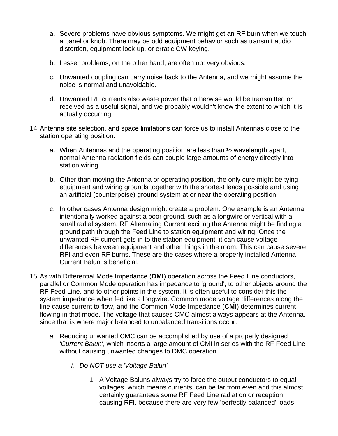- a. Severe problems have obvious symptoms. We might get an RF burn when we touch a panel or knob. There may be odd equipment behavior such as transmit audio distortion, equipment lock-up, or erratic CW keying.
- b. Lesser problems, on the other hand, are often not very obvious.
- c. Unwanted coupling can carry noise back to the Antenna, and we might assume the noise is normal and unavoidable.
- d. Unwanted RF currents also waste power that otherwise would be transmitted or received as a useful signal, and we probably wouldn't know the extent to which it is actually occurring.
- 14. Antenna site selection, and space limitations can force us to install Antennas close to the station operating position.
	- a. When Antennas and the operating position are less than ½ wavelength apart, normal Antenna radiation fields can couple large amounts of energy directly into station wiring.
	- b. Other than moving the Antenna or operating position, the only cure might be tying equipment and wiring grounds together with the shortest leads possible and using an artificial (counterpoise) ground system at or near the operating position.
	- c. In other cases Antenna design might create a problem. One example is an Antenna intentionally worked against a poor ground, such as a longwire or vertical with a small radial system. RF Alternating Current exciting the Antenna might be finding a ground path through the Feed Line to station equipment and wiring. Once the unwanted RF current gets in to the station equipment, it can cause voltage differences between equipment and other things in the room. This can cause severe RFI and even RF burns. These are the cases where a properly installed Antenna Current Balun is beneficial.
- 15. As with Differential Mode Impedance (**DMI**) operation across the Feed Line conductors, parallel or Common Mode operation has impedance to 'ground', to other objects around the RF Feed Line, and to other points in the system. It is often useful to consider this the system impedance when fed like a longwire. Common mode voltage differences along the line cause current to flow, and the Common Mode Impedance (**CMI**) determines current flowing in that mode. The voltage that causes CMC almost always appears at the Antenna, since that is where major balanced to unbalanced transitions occur.
	- *a.* Reducing unwanted CMC can be accomplished by use of a properly designed *'Current Balun'*, which inserts a large amount of CMI in series with the RF Feed Line without causing unwanted changes to DMC operation.
		- *i. Do NOT use a 'Voltage Balun'.*
			- 1. A Voltage Baluns always try to force the output conductors to equal voltages, which means currents, can be far from even and this almost certainly guarantees some RF Feed Line radiation or reception, causing RFI, because there are very few 'perfectly balanced' loads.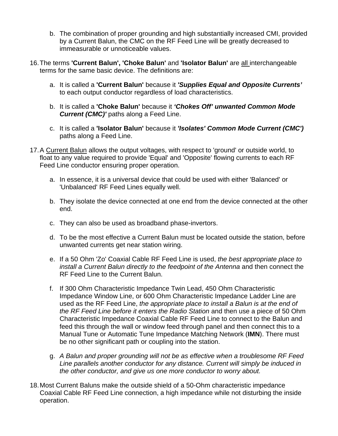- b. The combination of proper grounding and high substantially increased CMI, provided by a Current Balun, the CMC on the RF Feed Line will be greatly decreased to immeasurable or unnoticeable values.
- 16. The terms **'Current Balun', 'Choke Balun'** and **'Isolator Balun'** are all interchangeable terms for the same basic device. The definitions are:
	- a. It is called a **'Current Balun'** because it *'Supplies Equal and Opposite Currents'*  to each output conductor regardless of load characteristics.
	- b. It is called a **'Choke Balun'** because it *'Chokes Off' unwanted Common Mode Current (CMC)'* paths along a Feed Line.
	- c. It is called a **'Isolator Balun'** because it *'Isolates' Common Mode Current (CMC')* paths along a Feed Line.
- 17. A Current Balun allows the output voltages, with respect to 'ground' or outside world, to float to any value required to provide 'Equal' and 'Opposite' flowing currents to each RF Feed Line conductor ensuring proper operation.
	- a. In essence, it is a universal device that could be used with either 'Balanced' or 'Unbalanced' RF Feed Lines equally well.
	- b. They isolate the device connected at one end from the device connected at the other end.
	- c. They can also be used as broadband phase-invertors.
	- d. To be the most effective a Current Balun must be located outside the station, before unwanted currents get near station wiring.
	- e. If a 50 Ohm 'Zo' Coaxial Cable RF Feed Line is used, *the best appropriate place to install a Current Balun directly to the feedpoint of the Antenna* and then connect the RF Feed Line to the Current Balun.
	- f. If 300 Ohm Characteristic Impedance Twin Lead, 450 Ohm Characteristic Impedance Window Line, or 600 Ohm Characteristic Impedance Ladder Line are used as the RF Feed Line, *the appropriate place to install a Balun is at the end of the RF Feed Line before it enters the Radio Station* and then use a piece of 50 Ohm Characteristic Impedance Coaxial Cable RF Feed Line to connect to the Balun and feed this through the wall or window feed through panel and then connect this to a Manual Tune or Automatic Tune Impedance Matching Network (**IMN**). There must be no other significant path or coupling into the station.
	- g. *A Balun and proper grounding will not be as effective when a troublesome RF Feed Line parallels another conductor for any distance. Current will simply be induced in the other conductor, and give us one more conductor to worry about.*
- 18. Most Current Baluns make the outside shield of a 50-Ohm characteristic impedance Coaxial Cable RF Feed Line connection, a high impedance while not disturbing the inside operation.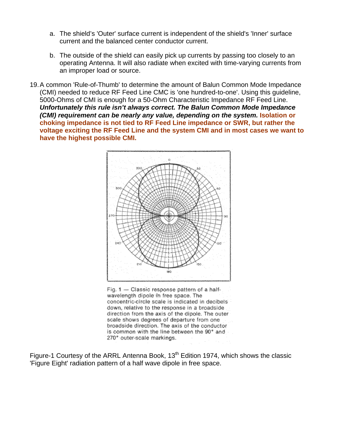- a. The shield's 'Outer' surface current is independent of the shield's 'Inner' surface current and the balanced center conductor current.
- b. The outside of the shield can easily pick up currents by passing too closely to an operating Antenna. It will also radiate when excited with time-varying currents from an improper load or source.
- 19. A common 'Rule-of-Thumb' to determine the amount of Balun Common Mode Impedance (CMI) needed to reduce RF Feed Line CMC is 'one hundred-to-one'. Using this guideline, 5000-Ohms of CMI is enough for a 50-Ohm Characteristic Impedance RF Feed Line. *Unfortunately this rule isn't always correct. The Balun Common Mode Impedance (CMI) requirement can be nearly any value, depending on the system.* Isolation or **choking impedance is not tied to RF Feed Line impedance or SWR, but rather the voltage exciting the RF Feed Line and the system CMI and in most cases we want to have the highest possible CMI.**



Fig. 1 - Classic response pattern of a halfwavelength dipole in free space. The concentric-circle scale is indicated in decibels down, relative to the response in a broadside. direction from the axis of the dipole. The outer scale shows degrees of departure from one broadside direction. The axis of the conductor is common with the line between the 90° and 270° outer-scale markings.

Figure-1 Courtesy of the ARRL Antenna Book,  $13<sup>th</sup>$  Edition 1974, which shows the classic 'Figure Eight' radiation pattern of a half wave dipole in free space.